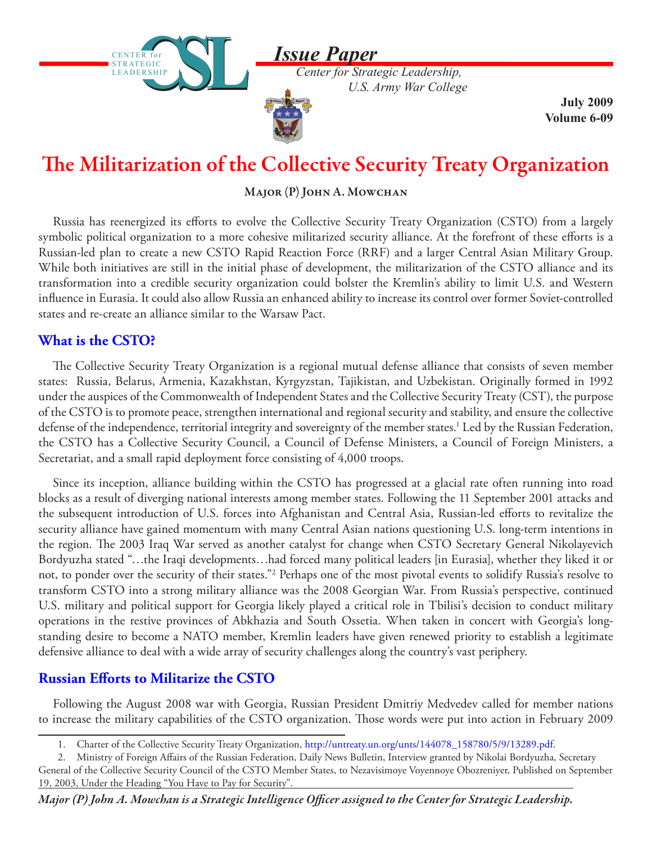*Issue Paper*

 *U.S. Army War College*



CENTER for STRATEGIC LEADERSHIP

**STRATEGIC** LEADERSHIP

> **July 2009 Volume 6-09**

# The Militarization of the Collective Security Treaty Organization

## $M$ ajor  $(P)$  John A. Mowchan

Russia has reenergized its efforts to evolve the Collective Security Treaty Organization (CSTO) from a largely symbolic political organization to a more cohesive militarized security alliance. At the forefront of these efforts is a Russian-led plan to create a new CSTO Rapid Reaction Force (RRF) and a larger Central Asian Military Group. While both initiatives are still in the initial phase of development, the militarization of the CSTO alliance and its transformation into a credible security organization could bolster the Kremlin's ability to limit U.S. and Western influence in Eurasia. It could also allow Russia an enhanced ability to increase its control over former Soviet-controlled states and re-create an alliance similar to the Warsaw Pact.

# **What is the CSTO?**

The Collective Security Treaty Organization is a regional mutual defense alliance that consists of seven member states: Russia, Belarus, Armenia, Kazakhstan, Kyrgyzstan, Tajikistan, and Uzbekistan. Originally formed in 1992 under the auspices of the Commonwealth of Independent States and the Collective Security Treaty (CST), the purpose of the CSTO is to promote peace, strengthen international and regional security and stability, and ensure the collective defense of the independence, territorial integrity and sovereignty of the member states.<sup>1</sup> Led by the Russian Federation, the CSTO has a Collective Security Council, a Council of Defense Ministers, a Council of Foreign Ministers, a Secretariat, and a small rapid deployment force consisting of 4,000 troops.

Since its inception, alliance building within the CSTO has progressed at a glacial rate often running into road blocks as a result of diverging national interests among member states. Following the 11 September 2001 attacks and the subsequent introduction of U.S. forces into Afghanistan and Central Asia, Russian-led efforts to revitalize the security alliance have gained momentum with many Central Asian nations questioning U.S. long-term intentions in the region. The 2003 Iraq War served as another catalyst for change when CSTO Secretary General Nikolayevich Bordyuzha stated "…the Iraqi developments…had forced many political leaders [in Eurasia], whether they liked it or not, to ponder over the security of their states."2 Perhaps one of the most pivotal events to solidify Russia's resolve to transform CSTO into a strong military alliance was the 2008 Georgian War. From Russia's perspective, continued U.S. military and political support for Georgia likely played a critical role in Tbilisi's decision to conduct military operations in the restive provinces of Abkhazia and South Ossetia. When taken in concert with Georgia's longstanding desire to become a NATO member, Kremlin leaders have given renewed priority to establish a legitimate defensive alliance to deal with a wide array of security challenges along the country's vast periphery.

# **Russian Efforts to Militarize the CSTO**

Following the August 2008 war with Georgia, Russian President Dmitriy Medvedev called for member nations to increase the military capabilities of the CSTO organization. Those words were put into action in February 2009

<sup>1.</sup> Charter of the Collective Security Treaty Organization, http://untreaty.un.org/unts/144078\_158780/5/9/13289.pdf.

<sup>2.</sup> Ministry of Foreign Affairs of the Russian Federation, Daily News Bulletin, Interview granted by Nikolai Bordyuzha, Secretary General of the Collective Security Council of the CSTO Member States, to Nezavisimoye Voyennoye Obozreniyer, Published on September 19, 2003, Under the Heading "You Have to Pay for Security".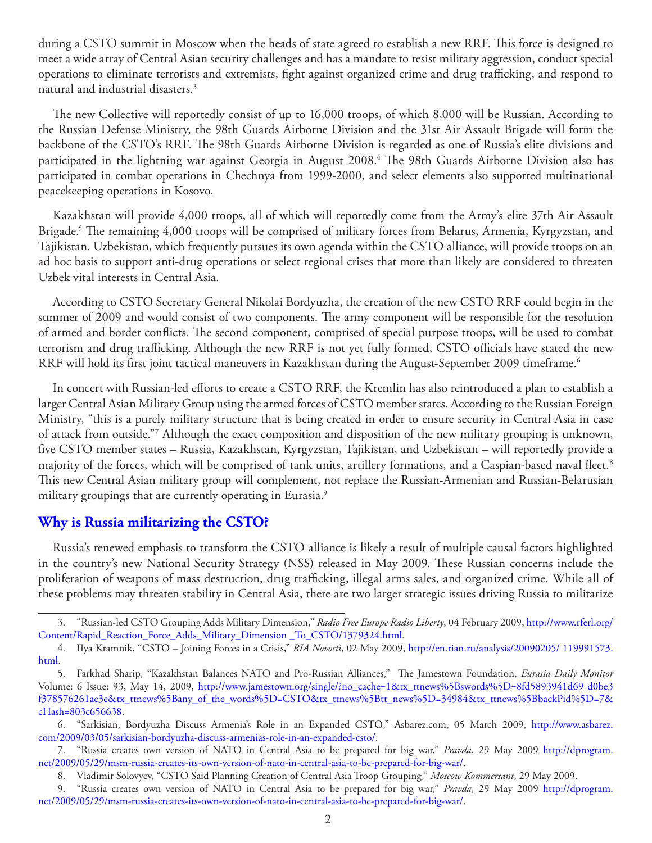during a CSTO summit in Moscow when the heads of state agreed to establish a new RRF. This force is designed to meet a wide array of Central Asian security challenges and has a mandate to resist military aggression, conduct special operations to eliminate terrorists and extremists, fight against organized crime and drug trafficking, and respond to natural and industrial disasters.3

The new Collective will reportedly consist of up to 16,000 troops, of which 8,000 will be Russian. According to the Russian Defense Ministry, the 98th Guards Airborne Division and the 31st Air Assault Brigade will form the backbone of the CSTO's RRF. The 98th Guards Airborne Division is regarded as one of Russia's elite divisions and participated in the lightning war against Georgia in August 2008.4 The 98th Guards Airborne Division also has participated in combat operations in Chechnya from 1999-2000, and select elements also supported multinational peacekeeping operations in Kosovo.

Kazakhstan will provide 4,000 troops, all of which will reportedly come from the Army's elite 37th Air Assault Brigade.5 The remaining 4,000 troops will be comprised of military forces from Belarus, Armenia, Kyrgyzstan, and Tajikistan. Uzbekistan, which frequently pursues its own agenda within the CSTO alliance, will provide troops on an ad hoc basis to support anti-drug operations or select regional crises that more than likely are considered to threaten Uzbek vital interests in Central Asia.

According to CSTO Secretary General Nikolai Bordyuzha, the creation of the new CSTO RRF could begin in the summer of 2009 and would consist of two components. The army component will be responsible for the resolution of armed and border conflicts. The second component, comprised of special purpose troops, will be used to combat terrorism and drug trafficking. Although the new RRF is not yet fully formed, CSTO officials have stated the new RRF will hold its first joint tactical maneuvers in Kazakhstan during the August-September 2009 timeframe.<sup>6</sup>

In concert with Russian-led efforts to create a CSTO RRF, the Kremlin has also reintroduced a plan to establish a larger Central Asian Military Group using the armed forces of CSTO member states. According to the Russian Foreign Ministry, "this is a purely military structure that is being created in order to ensure security in Central Asia in case of attack from outside."7 Although the exact composition and disposition of the new military grouping is unknown, five CSTO member states – Russia, Kazakhstan, Kyrgyzstan, Tajikistan, and Uzbekistan – will reportedly provide a majority of the forces, which will be comprised of tank units, artillery formations, and a Caspian-based naval fleet.<sup>8</sup> This new Central Asian military group will complement, not replace the Russian-Armenian and Russian-Belarusian military groupings that are currently operating in Eurasia.<sup>9</sup>

## **Why is Russia militarizing the CSTO?**

Russia's renewed emphasis to transform the CSTO alliance is likely a result of multiple causal factors highlighted in the country's new National Security Strategy (NSS) released in May 2009. These Russian concerns include the proliferation of weapons of mass destruction, drug trafficking, illegal arms sales, and organized crime. While all of these problems may threaten stability in Central Asia, there are two larger strategic issues driving Russia to militarize

<sup>3.</sup> "Russian-led CSTO Grouping Adds Military Dimension," *Radio Free Europe Radio Liberty*, 04 February 2009, [http://www.rferl.org/](http://www.rferl.org/Content/Rapid_Reaction_Force_Adds_Military_Dimension _To_CSTO/1379324.html) [Content/Rapid\\_Reaction\\_Force\\_Adds\\_Military\\_Dimension \\_To\\_CSTO/1379324.html.](http://www.rferl.org/Content/Rapid_Reaction_Force_Adds_Military_Dimension _To_CSTO/1379324.html)

<sup>4.</sup> IIya Kramnik, "CSTO – Joining Forces in a Crisis," *RIA Novosti*, 02 May 2009, [http://en.rian.ru/analysis/20090205/ 119991573.](http://en.rian.ru/analysis/20090205/ 119991573.html) [html.](http://en.rian.ru/analysis/20090205/ 119991573.html)

<sup>5.</sup> Farkhad Sharip, "Kazakhstan Balances NATO and Pro-Russian Alliances," The Jamestown Foundation, *Eurasia Daily Monitor* Volume: 6 Issue: 93, May 14, 2009, [http://www.jamestown.org/single/?no\\_cache=1&tx\\_ttnews%5Bswords%5D=8fd5893941d69 d0be3](http://www.jamestown.org/single/?no_cache=1&tx_ttnews%5Bswords%5D=8fd5893941d69 d0be3f378576261ae3e&tx_ttnews%5Bany_of_the_words%5D=CSTO&tx_ttnews%5Btt_news%5D=34984&tx_ttnews%5BbackPid%5D=7&cHash=803c656638)  [f378576261ae3e&tx\\_ttnews%5Bany\\_of\\_the\\_words%5D=CSTO&tx\\_ttnews%5Btt\\_news%5D=34984&tx\\_ttnews%5BbackPid%5D=7&](http://www.jamestown.org/single/?no_cache=1&tx_ttnews%5Bswords%5D=8fd5893941d69 d0be3f378576261ae3e&tx_ttnews%5Bany_of_the_words%5D=CSTO&tx_ttnews%5Btt_news%5D=34984&tx_ttnews%5BbackPid%5D=7&cHash=803c656638) [cHash=803c656638](http://www.jamestown.org/single/?no_cache=1&tx_ttnews%5Bswords%5D=8fd5893941d69 d0be3f378576261ae3e&tx_ttnews%5Bany_of_the_words%5D=CSTO&tx_ttnews%5Btt_news%5D=34984&tx_ttnews%5BbackPid%5D=7&cHash=803c656638).

<sup>6.</sup> "Sarkisian, Bordyuzha Discuss Armenia's Role in an Expanded CSTO," Asbarez.com, 05 March 2009, [http://www.asbarez.](http://www.asbarez.com/2009/03/05/sarkisian-bordyuzha-discuss-armenias-role-in-an-expanded-csto/) [com/2009/03/05/sarkisian-bordyuzha-discuss-armenias-role-in-an-expanded-csto/.](http://www.asbarez.com/2009/03/05/sarkisian-bordyuzha-discuss-armenias-role-in-an-expanded-csto/)

<sup>7.</sup> "Russia creates own version of NATO in Central Asia to be prepared for big war," *Pravda*, 29 May 2009 [http://dprogram.](http://dprogram. net/2009/05/29/msm-russia-creates-its-own-version-of-nato-in-central-asia-to-be-prepared-for-big-war/) [net/2009/05/29/msm-russia-creates-its-own-version-of-nato-in-central-asia-to-be-prepared-for-big-war/](http://dprogram. net/2009/05/29/msm-russia-creates-its-own-version-of-nato-in-central-asia-to-be-prepared-for-big-war/).

<sup>8.</sup> Vladimir Solovyev, "CSTO Said Planning Creation of Central Asia Troop Grouping," *Moscow Kommersant*, 29 May 2009.

<sup>9.</sup> "Russia creates own version of NATO in Central Asia to be prepared for big war," *Pravda*, 29 May 2009 [http://dprogram.](http://dprogram.net/2009/05/29/msm-russia-creates-its-own-version-of-nato-in-central-asia-to-be-prepared-for-big-war/) [net/2009/05/29/msm-russia-creates-its-own-version-of-nato-in-central-asia-to-be-prepared-for-big-war/](http://dprogram.net/2009/05/29/msm-russia-creates-its-own-version-of-nato-in-central-asia-to-be-prepared-for-big-war/).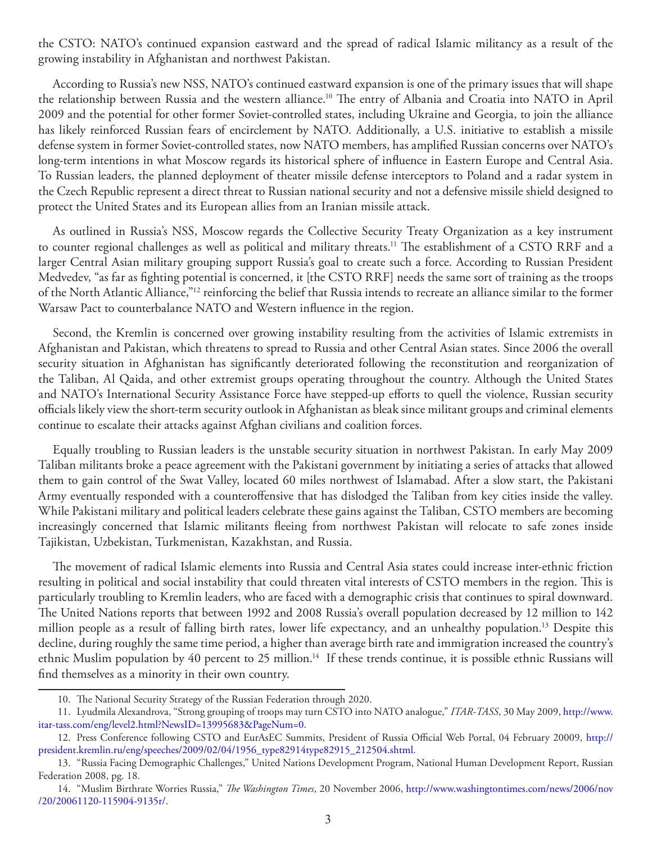the CSTO: NATO's continued expansion eastward and the spread of radical Islamic militancy as a result of the growing instability in Afghanistan and northwest Pakistan.

According to Russia's new NSS, NATO's continued eastward expansion is one of the primary issues that will shape the relationship between Russia and the western alliance.10 The entry of Albania and Croatia into NATO in April 2009 and the potential for other former Soviet-controlled states, including Ukraine and Georgia, to join the alliance has likely reinforced Russian fears of encirclement by NATO. Additionally, a U.S. initiative to establish a missile defense system in former Soviet-controlled states, now NATO members, has amplified Russian concerns over NATO's long-term intentions in what Moscow regards its historical sphere of influence in Eastern Europe and Central Asia. To Russian leaders, the planned deployment of theater missile defense interceptors to Poland and a radar system in the Czech Republic represent a direct threat to Russian national security and not a defensive missile shield designed to protect the United States and its European allies from an Iranian missile attack.

As outlined in Russia's NSS, Moscow regards the Collective Security Treaty Organization as a key instrument to counter regional challenges as well as political and military threats.11 The establishment of a CSTO RRF and a larger Central Asian military grouping support Russia's goal to create such a force. According to Russian President Medvedev, "as far as fighting potential is concerned, it [the CSTO RRF] needs the same sort of training as the troops of the North Atlantic Alliance,"12 reinforcing the belief that Russia intends to recreate an alliance similar to the former Warsaw Pact to counterbalance NATO and Western influence in the region.

Second, the Kremlin is concerned over growing instability resulting from the activities of Islamic extremists in Afghanistan and Pakistan, which threatens to spread to Russia and other Central Asian states. Since 2006 the overall security situation in Afghanistan has significantly deteriorated following the reconstitution and reorganization of the Taliban, Al Qaida, and other extremist groups operating throughout the country. Although the United States and NATO's International Security Assistance Force have stepped-up efforts to quell the violence, Russian security officials likely view the short-term security outlook in Afghanistan as bleak since militant groups and criminal elements continue to escalate their attacks against Afghan civilians and coalition forces.

Equally troubling to Russian leaders is the unstable security situation in northwest Pakistan. In early May 2009 Taliban militants broke a peace agreement with the Pakistani government by initiating a series of attacks that allowed them to gain control of the Swat Valley, located 60 miles northwest of Islamabad. After a slow start, the Pakistani Army eventually responded with a counteroffensive that has dislodged the Taliban from key cities inside the valley. While Pakistani military and political leaders celebrate these gains against the Taliban, CSTO members are becoming increasingly concerned that Islamic militants fleeing from northwest Pakistan will relocate to safe zones inside Tajikistan, Uzbekistan, Turkmenistan, Kazakhstan, and Russia.

The movement of radical Islamic elements into Russia and Central Asia states could increase inter-ethnic friction resulting in political and social instability that could threaten vital interests of CSTO members in the region. This is particularly troubling to Kremlin leaders, who are faced with a demographic crisis that continues to spiral downward. The United Nations reports that between 1992 and 2008 Russia's overall population decreased by 12 million to 142 million people as a result of falling birth rates, lower life expectancy, and an unhealthy population.13 Despite this decline, during roughly the same time period, a higher than average birth rate and immigration increased the country's ethnic Muslim population by 40 percent to 25 million.<sup>14</sup> If these trends continue, it is possible ethnic Russians will find themselves as a minority in their own country.

<sup>10.</sup> The National Security Strategy of the Russian Federation through 2020.

<sup>11.</sup> Lyudmila Alexandrova, "Strong grouping of troops may turn CSTO into NATO analogue," *ITAR-TASS*, 30 May 2009, [http://www.](http://www.itar-tass.com/eng/level2.html?NewsID=13995683&PageNum=0) [itar-tass.com/eng/level2.html?NewsID=13995683&PageNum=0](http://www.itar-tass.com/eng/level2.html?NewsID=13995683&PageNum=0).

<sup>12.</sup> Press Conference following CSTO and EurAsEC Summits, President of Russia Official Web Portal, 04 February 20009, [http://](http://president.kremlin.ru/eng/speeches/2009/02/04/1956_type82914type82915_212504.shtml) [president.kremlin.ru/eng/speeches/2009/02/04/1956\\_type82914type82915\\_212504.shtml](http://president.kremlin.ru/eng/speeches/2009/02/04/1956_type82914type82915_212504.shtml).

<sup>13.</sup> "Russia Facing Demographic Challenges," United Nations Development Program, National Human Development Report, Russian Federation 2008, pg. 18.

<sup>14.</sup> "Muslim Birthrate Worries Russia," *The Washington Times*, 20 November 2006, [http://www.washingtontimes.com/news/2006/nov](http://www.washingtontimes.com/news/2006/nov /20/20061120-115904-9135r/) [/20/20061120-115904-9135r/.](http://www.washingtontimes.com/news/2006/nov /20/20061120-115904-9135r/)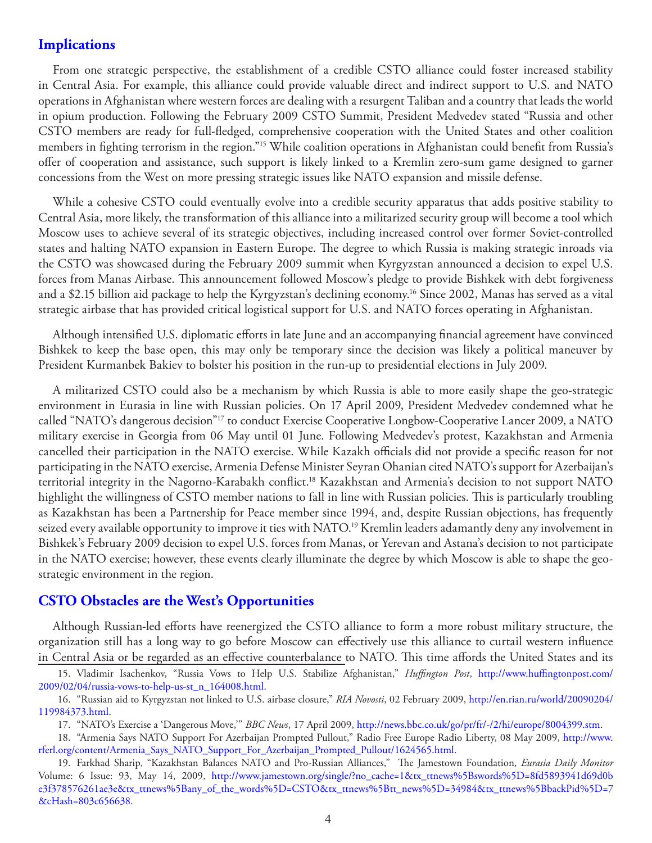### **Implications**

From one strategic perspective, the establishment of a credible CSTO alliance could foster increased stability in Central Asia. For example, this alliance could provide valuable direct and indirect support to U.S. and NATO operations in Afghanistan where western forces are dealing with a resurgent Taliban and a country that leads the world in opium production. Following the February 2009 CSTO Summit, President Medvedev stated "Russia and other CSTO members are ready for full-fledged, comprehensive cooperation with the United States and other coalition members in fighting terrorism in the region."15 While coalition operations in Afghanistan could benefit from Russia's offer of cooperation and assistance, such support is likely linked to a Kremlin zero-sum game designed to garner concessions from the West on more pressing strategic issues like NATO expansion and missile defense.

While a cohesive CSTO could eventually evolve into a credible security apparatus that adds positive stability to Central Asia, more likely, the transformation of this alliance into a militarized security group will become a tool which Moscow uses to achieve several of its strategic objectives, including increased control over former Soviet-controlled states and halting NATO expansion in Eastern Europe. The degree to which Russia is making strategic inroads via the CSTO was showcased during the February 2009 summit when Kyrgyzstan announced a decision to expel U.S. forces from Manas Airbase. This announcement followed Moscow's pledge to provide Bishkek with debt forgiveness and a \$2.15 billion aid package to help the Kyrgyzstan's declining economy.<sup>16</sup> Since 2002, Manas has served as a vital strategic airbase that has provided critical logistical support for U.S. and NATO forces operating in Afghanistan.

Although intensified U.S. diplomatic efforts in late June and an accompanying financial agreement have convinced Bishkek to keep the base open, this may only be temporary since the decision was likely a political maneuver by President Kurmanbek Bakiev to bolster his position in the run-up to presidential elections in July 2009.

A militarized CSTO could also be a mechanism by which Russia is able to more easily shape the geo-strategic environment in Eurasia in line with Russian policies. On 17 April 2009, President Medvedev condemned what he called "NATO's dangerous decision"<sup>17</sup> to conduct Exercise Cooperative Longbow-Cooperative Lancer 2009, a NATO military exercise in Georgia from 06 May until 01 June. Following Medvedev's protest, Kazakhstan and Armenia cancelled their participation in the NATO exercise. While Kazakh officials did not provide a specific reason for not participating in the NATO exercise, Armenia Defense Minister Seyran Ohanian cited NATO's support for Azerbaijan's territorial integrity in the Nagorno-Karabakh conflict.18 Kazakhstan and Armenia's decision to not support NATO highlight the willingness of CSTO member nations to fall in line with Russian policies. This is particularly troubling as Kazakhstan has been a Partnership for Peace member since 1994, and, despite Russian objections, has frequently seized every available opportunity to improve it ties with NATO.<sup>19</sup> Kremlin leaders adamantly deny any involvement in Bishkek's February 2009 decision to expel U.S. forces from Manas, or Yerevan and Astana's decision to not participate in the NATO exercise; however, these events clearly illuminate the degree by which Moscow is able to shape the geostrategic environment in the region.

#### **CSTO Obstacles are the West's Opportunities**

Although Russian-led efforts have reenergized the CSTO alliance to form a more robust military structure, the organization still has a long way to go before Moscow can effectively use this alliance to curtail western influence in Central Asia or be regarded as an effective counterbalance to NATO. This time affords the United States and its

<sup>15.</sup> Vladimir Isachenkov, "Russia Vows to Help U.S. Stabilize Afghanistan," *Huffington Post*, [http://www.huffingtonpost.com/](http://www.huffingtonpost.com/ 2009/02/04/russia-vows-to-help-us-st_n_164008.html) [2009/02/04/russia-vows-to-help-us-st\\_n\\_164008.html.](http://www.huffingtonpost.com/ 2009/02/04/russia-vows-to-help-us-st_n_164008.html)

<sup>16.</sup> "Russian aid to Kyrgyzstan not linked to U.S. airbase closure," *RIA Novosti*, 02 February 2009, [http://en.rian.ru/world/20090204/](http://en.rian.ru/world/20090204/ 119984373.html) [119984373.html](http://en.rian.ru/world/20090204/ 119984373.html).

<sup>17.</sup> "NATO's Exercise a 'Dangerous Move,'" *BBC News*, 17 April 2009, [http://news.bbc.co.uk/go/pr/fr/-/2/hi/europe/8004399.stm.](http://news.bbc.co.uk/go/pr/fr/-/2/hi/europe/8004399.stm)

<sup>18.</sup> "Armenia Says NATO Support For Azerbaijan Prompted Pullout," Radio Free Europe Radio Liberty, 08 May 2009, [http://www.](http://www.rferl.org/content/Armenia_Says_NATO_Support_For_Azerbaijan_Prompted_Pullout/1624565.html) [rferl.org/content/Armenia\\_Says\\_NATO\\_Support\\_For\\_Azerbaijan\\_Prompted\\_Pullout/1624565.html.](http://www.rferl.org/content/Armenia_Says_NATO_Support_For_Azerbaijan_Prompted_Pullout/1624565.html)

<sup>19.</sup> Farkhad Sharip, "Kazakhstan Balances NATO and Pro-Russian Alliances," The Jamestown Foundation, *Eurasia Daily Monitor* Volume: 6 Issue: 93, May 14, 2009, [http://www.jamestown.org/single/?no\\_cache=1&tx\\_ttnews%5Bswords%5D=8fd5893941d69d0b](http://www.jamestown.org/single/?no_cache=1&tx_ttnews%5Bswords%5D=8fd5893941d69d0b e3f378576261ae3e&tx_ttnews%5Bany_of_the_words%5D=CSTO&tx_ttnews%5Btt_news%5D=34984&tx_ttnews%5BbackPid%5D=7&cHash=803c656638) [e3f378576261ae3e&tx\\_ttnews%5Bany\\_of\\_the\\_words%5D=CSTO&tx\\_ttnews%5Btt\\_news%5D=34984&tx\\_ttnews%5BbackPid%5D=7](http://www.jamestown.org/single/?no_cache=1&tx_ttnews%5Bswords%5D=8fd5893941d69d0b e3f378576261ae3e&tx_ttnews%5Bany_of_the_words%5D=CSTO&tx_ttnews%5Btt_news%5D=34984&tx_ttnews%5BbackPid%5D=7&cHash=803c656638) [&cHash=803c656638.](http://www.jamestown.org/single/?no_cache=1&tx_ttnews%5Bswords%5D=8fd5893941d69d0b e3f378576261ae3e&tx_ttnews%5Bany_of_the_words%5D=CSTO&tx_ttnews%5Btt_news%5D=34984&tx_ttnews%5BbackPid%5D=7&cHash=803c656638)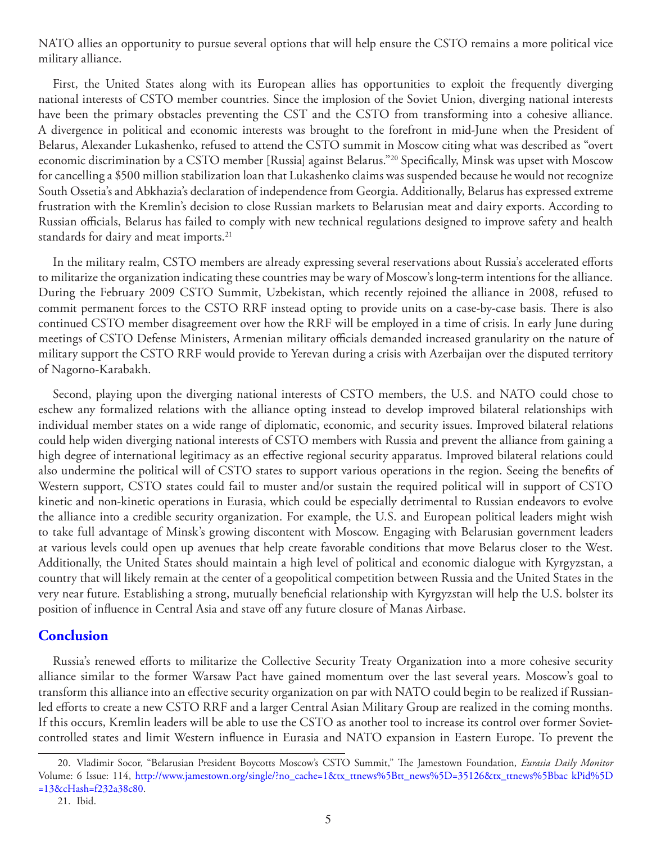NATO allies an opportunity to pursue several options that will help ensure the CSTO remains a more political vice military alliance.

First, the United States along with its European allies has opportunities to exploit the frequently diverging national interests of CSTO member countries. Since the implosion of the Soviet Union, diverging national interests have been the primary obstacles preventing the CST and the CSTO from transforming into a cohesive alliance. A divergence in political and economic interests was brought to the forefront in mid-June when the President of Belarus, Alexander Lukashenko, refused to attend the CSTO summit in Moscow citing what was described as "overt economic discrimination by a CSTO member [Russia] against Belarus."20 Specifically, Minsk was upset with Moscow for cancelling a \$500 million stabilization loan that Lukashenko claims was suspended because he would not recognize South Ossetia's and Abkhazia's declaration of independence from Georgia. Additionally, Belarus has expressed extreme frustration with the Kremlin's decision to close Russian markets to Belarusian meat and dairy exports. According to Russian officials, Belarus has failed to comply with new technical regulations designed to improve safety and health standards for dairy and meat imports.<sup>21</sup>

In the military realm, CSTO members are already expressing several reservations about Russia's accelerated efforts to militarize the organization indicating these countries may be wary of Moscow's long-term intentions for the alliance. During the February 2009 CSTO Summit, Uzbekistan, which recently rejoined the alliance in 2008, refused to commit permanent forces to the CSTO RRF instead opting to provide units on a case-by-case basis. There is also continued CSTO member disagreement over how the RRF will be employed in a time of crisis. In early June during meetings of CSTO Defense Ministers, Armenian military officials demanded increased granularity on the nature of military support the CSTO RRF would provide to Yerevan during a crisis with Azerbaijan over the disputed territory of Nagorno-Karabakh.

Second, playing upon the diverging national interests of CSTO members, the U.S. and NATO could chose to eschew any formalized relations with the alliance opting instead to develop improved bilateral relationships with individual member states on a wide range of diplomatic, economic, and security issues. Improved bilateral relations could help widen diverging national interests of CSTO members with Russia and prevent the alliance from gaining a high degree of international legitimacy as an effective regional security apparatus. Improved bilateral relations could also undermine the political will of CSTO states to support various operations in the region. Seeing the benefits of Western support, CSTO states could fail to muster and/or sustain the required political will in support of CSTO kinetic and non-kinetic operations in Eurasia, which could be especially detrimental to Russian endeavors to evolve the alliance into a credible security organization. For example, the U.S. and European political leaders might wish to take full advantage of Minsk's growing discontent with Moscow. Engaging with Belarusian government leaders at various levels could open up avenues that help create favorable conditions that move Belarus closer to the West. Additionally, the United States should maintain a high level of political and economic dialogue with Kyrgyzstan, a country that will likely remain at the center of a geopolitical competition between Russia and the United States in the very near future. Establishing a strong, mutually beneficial relationship with Kyrgyzstan will help the U.S. bolster its position of influence in Central Asia and stave off any future closure of Manas Airbase.

### **Conclusion**

Russia's renewed efforts to militarize the Collective Security Treaty Organization into a more cohesive security alliance similar to the former Warsaw Pact have gained momentum over the last several years. Moscow's goal to transform this alliance into an effective security organization on par with NATO could begin to be realized if Russianled efforts to create a new CSTO RRF and a larger Central Asian Military Group are realized in the coming months. If this occurs, Kremlin leaders will be able to use the CSTO as another tool to increase its control over former Sovietcontrolled states and limit Western influence in Eurasia and NATO expansion in Eastern Europe. To prevent the

<sup>20.</sup> Vladimir Socor, "Belarusian President Boycotts Moscow's CSTO Summit," The Jamestown Foundation, *Eurasia Daily Monitor* Volume: 6 Issue: 114, [http://www.jamestown.org/single/?no\\_cache=1&tx\\_ttnews%5Btt\\_news%5D=35126&tx\\_ttnews%5Bbac kPid%5D](http://www.jamestown.org/single/?no_cache=1&tx_ttnews%5Btt_news%5D=35126&tx_ttnews%5Bbac kPid%5D=13&cHash=f232a38c80) [=13&cHash=f232a38c80.](http://www.jamestown.org/single/?no_cache=1&tx_ttnews%5Btt_news%5D=35126&tx_ttnews%5Bbac kPid%5D=13&cHash=f232a38c80)

<sup>21.</sup> Ibid.